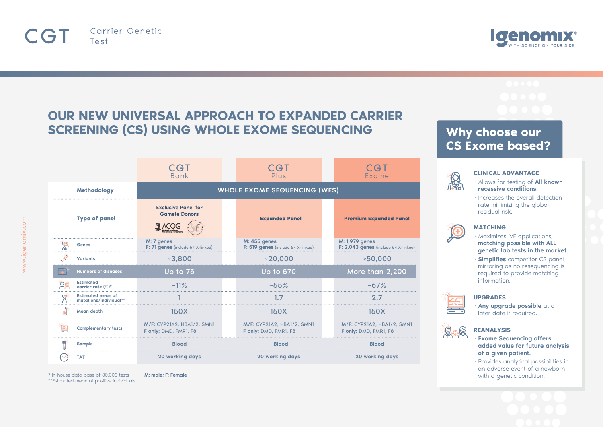



# **OUR NEW UNIVERSAL APPROACH TO EXPANDED CARRIER SCREENING (CS) USING WHOLE EXOME SEQUENCING**

|                    |                                                    | CGT<br><b>Bank</b>                                  | CGT<br>Plus                                         | CGT<br>Exome                                          |
|--------------------|----------------------------------------------------|-----------------------------------------------------|-----------------------------------------------------|-------------------------------------------------------|
| <b>Methodology</b> |                                                    | <b>WHOLE EXOME SEQUENCING (WES)</b>                 |                                                     |                                                       |
|                    | <b>Type of panel</b>                               | <b>Exclusive Panel for</b><br><b>Gamete Donors</b>  | <b>Expanded Panel</b>                               | <b>Premium Expanded Panel</b>                         |
|                    | Genes                                              | M: 7 genes<br>F: 71 genes (include 64 X-linked)     | M: 455 genes<br>F: 519 genes (include 64 X-linked)  | M: 1,979 genes<br>F: 2,043 genes (include 64 X-linked |
|                    | <b>Variants</b>                                    | $-3.800$                                            | ~120.000                                            | >50,000                                               |
|                    | <b>Numbers of diseases</b>                         | Up to 75                                            | <b>Up to 570</b>                                    | More than 2,200                                       |
| OG                 | <b>Estimated</b><br>carrier rate (%)*              | $~11\%$                                             | $~1.55\%$                                           | $~10-67\%$                                            |
| Ψ                  | <b>Estimated mean of</b><br>mutations/individual** |                                                     |                                                     | 2.7                                                   |
|                    | Mean depth                                         | 150X                                                | 150X                                                | 150X                                                  |
|                    | <b>Complementary tests</b>                         | M/F: CYP21A2, HBA1/2, SMN1<br>F only: DMD, FMR1, F8 | M/F: CYP21A2, HBA1/2, SMN1<br>F only: DMD, FMR1, F8 | M/F: CYP21A2, HBA1/2, SMN1<br>F only: DMD, FMR1, F8   |
|                    | Sample                                             | <b>Blood</b>                                        | <b>Blood</b>                                        | <b>Blood</b>                                          |
|                    | <b>TAT</b>                                         | 20 working days                                     | 20 working days                                     | 20 working days                                       |

**Why choose our CS Exome based?**



### **CLINICAL ADVANTAGE**

- •Allows for testing of All known recessive conditions.
- •Increases the overall detection rate minimizing the global residual risk.



## **MATCHING**

- •Maximizes IVF applications, matching possible with ALL genetic lab tests in the market.
- •Simplifies competitor CS panel mirroring as no resequencing is required to provide matching information.



### **UPGRADES**

•Any upgrade possible at a later date if required.



## **REANALYSIS**

•Exome Sequencing offers added value for future analysis of a given patient.

•Provides analytical possibilities in an adverse event of a newborn with a genetic condition.



\* In-house data base of 30,000 tests \*\*Estimated mean of positive individuals

M: male; F: Female